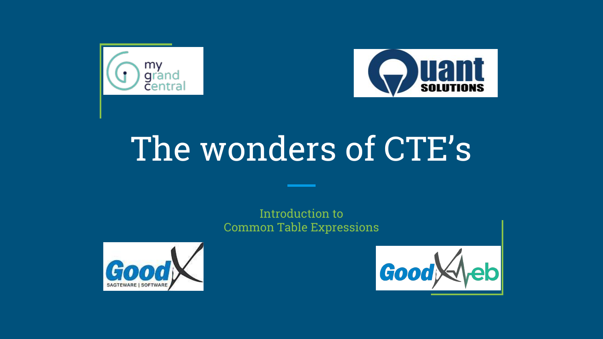



# The wonders of CTE's

Introduction to Common Table Expressions



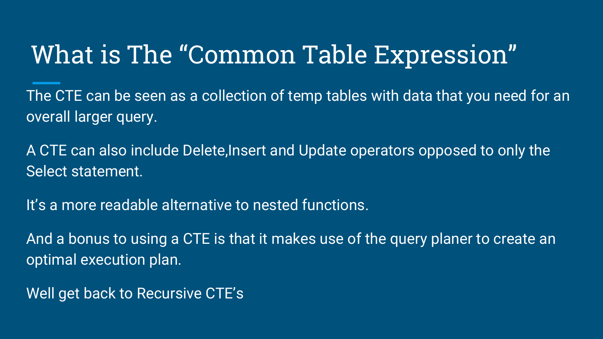### What is The "Common Table Expression"

The CTE can be seen as a collection of temp tables with data that you need for an overall larger query.

A CTE can also include Delete,Insert and Update operators opposed to only the Select statement.

It's a more readable alternative to nested functions.

And a bonus to using a CTE is that it makes use of the query planer to create an optimal execution plan.

Well get back to Recursive CTE's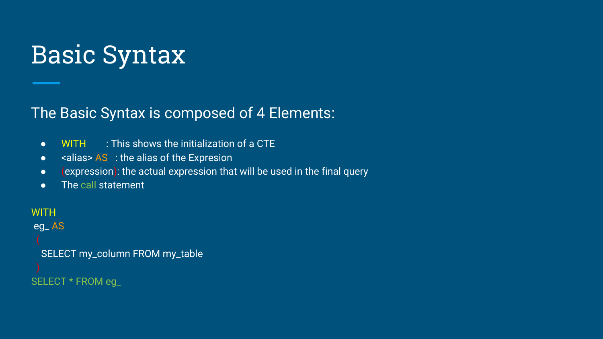### Basic Syntax

#### The Basic Syntax is composed of 4 Elements:

- WITH : This shows the initialization of a CTE
- $\bullet$  <alias> AS : the alias of the Expresion
- (expression): the actual expression that will be used in the final query
- The call statement

#### **WITH**

#### eg\_ AS

SELECT my\_column FROM my\_table

SELECT \* FROM eg\_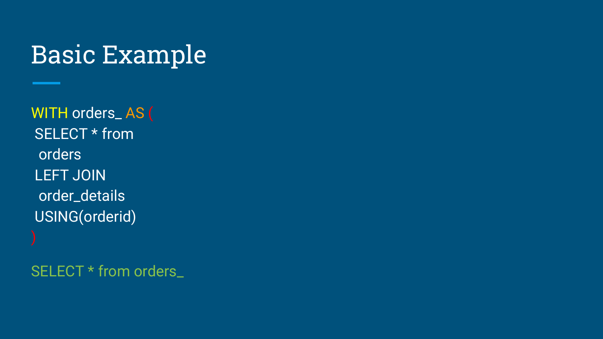### Basic Example

WITH orders\_ AS ( SELECT \* from orders LEFT JOIN order\_details USING(orderid)

SELECT \* from orders\_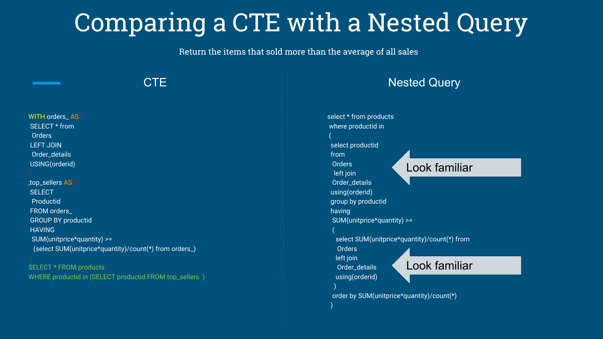### Comparing a CTE with a Nested Query

Return the items that sold more than the average of all sales

| select * from products<br>WITH orders_AS (<br>SELECT * from<br>where productid in<br>Orders<br><b>LEFT JOIN</b><br>select productid<br>Order_details<br>from<br>USING(orderid)<br><b>Orders</b><br>Look familiar<br>left join<br>Order_details<br>,top_sellers AS (<br>using(orderid)<br><b>SELECT</b><br>Productid<br>group by productid<br>FROM orders_<br>having<br>SUM(unitprice*quantity) >=<br><b>GROUP BY productid</b><br><b>HAVING</b><br>select SUM(unitprice*quantity)/count(*) from<br>SUM(unitprice*quantity) >=<br>(select SUM(unitprice*quantity)/count(*) from orders_)<br>Orders<br>left join<br>Look familiar<br>SELECT * FROM products<br>Order_details<br>WHERE productid in (SELECT productid FROM top_sellers )<br>using(orderid) | <b>CTE</b> | <b>Nested Query</b> |
|---------------------------------------------------------------------------------------------------------------------------------------------------------------------------------------------------------------------------------------------------------------------------------------------------------------------------------------------------------------------------------------------------------------------------------------------------------------------------------------------------------------------------------------------------------------------------------------------------------------------------------------------------------------------------------------------------------------------------------------------------------|------------|---------------------|
| order by SUM(unitprice*quantity)/count(*)                                                                                                                                                                                                                                                                                                                                                                                                                                                                                                                                                                                                                                                                                                               |            |                     |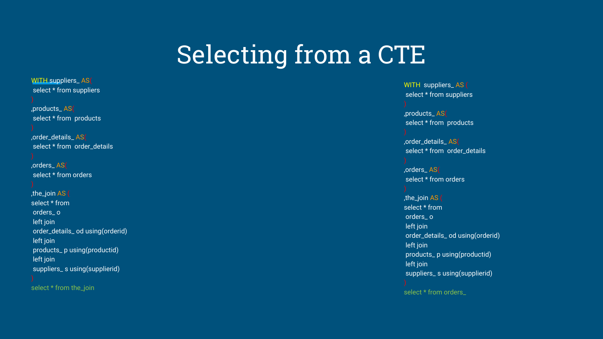#### Selecting from a CTE

WITH suppliers\_AS( select \* from suppliers ,products\_ AS( select \* from products ,order\_details\_ AS( select \* from order\_details ,orders\_ AS( select \* from orders ,the\_join AS ( select \* from orders\_ o left join order\_details\_ od using(orderid) left join products\_ p using(productid) left join suppliers\_ s using(supplierid)

select \* from the\_join

WITH suppliers\_ AS ( select \* from suppliers

,products\_ AS( select \* from products

,order\_details\_ AS( select \* from order details

,orders\_ AS( select \* from orders

,the\_join AS ( select \* from orders\_ o left join order\_details\_ od using(orderid) left join products\_ p using(productid) left join suppliers\_ s using(supplierid) select \* from orders\_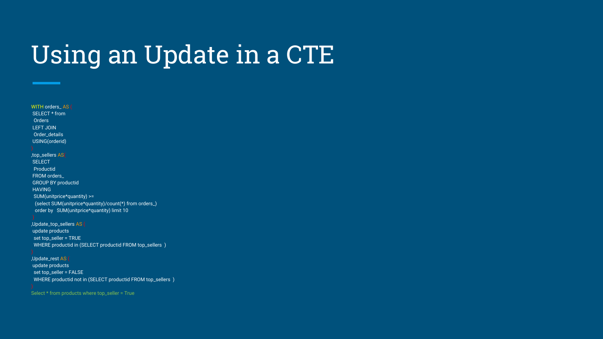### Using an Update in a CTE

 SELECT \* from Orders LEFT JOIN Order\_details USING(orderid) ,top\_sellers AS( **SELECT**  Productid FROM orders\_ GROUP BY productid HAVING SUM(unitprice\*quantity) >= (select SUM(unitprice\*quantity)/count(\*) from orders\_) order by SUM(unitprice\*quantity) limit 10

WITH orders AS (

,Update\_top\_sellers AS ( update products set top\_seller = TRUE WHERE productid in (SELECT productid FROM top\_sellers )

,Update\_rest AS ( update products set top\_seller = FALSE WHERE productid not in (SELECT productid FROM top\_sellers )

Select \* from products where top\_seller = True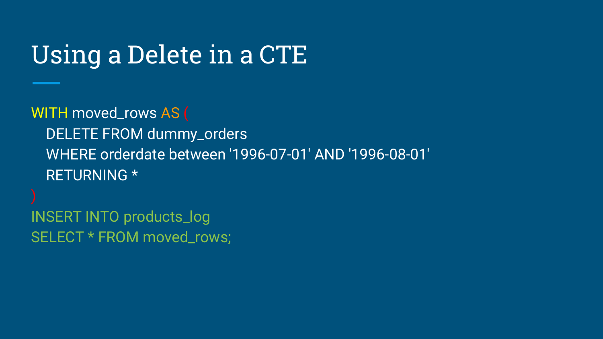#### Using a Delete in a CTE

WITH moved\_rows AS ( DELETE FROM dummy\_orders WHERE orderdate between '1996-07-01' AND '1996-08-01' RETURNING \*

INSERT INTO products\_log SELECT \* FROM moved\_rows;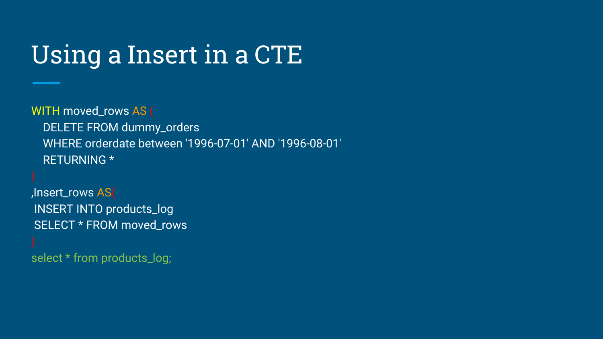### Using a Insert in a CTE

WITH moved\_rows AS ( DELETE FROM dummy\_orders WHERE orderdate between '1996-07-01' AND '1996-08-01' RETURNING \*

,Insert\_rows AS( INSERT INTO products\_log SELECT \* FROM moved\_rows

select \* from products\_log;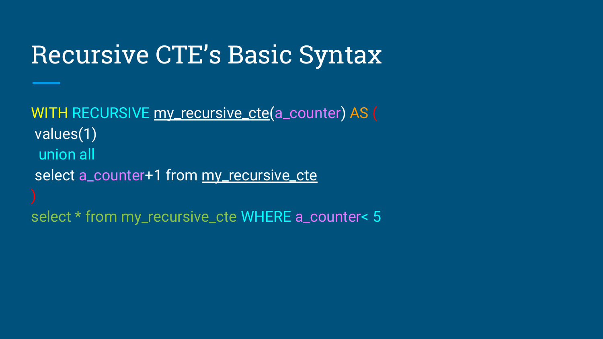#### Recursive CTE's Basic Syntax

WITH RECURSIVE my\_recursive\_cte(a\_counter) AS ( values(1) union all select a\_counter+1 from my\_recursive\_cte select \* from my\_recursive\_cte WHERE a\_counter< 5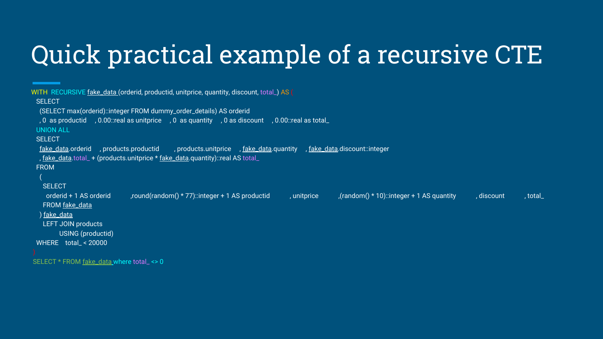## Quick practical example of a recursive CTE

```
WITH RECURSIVE fake_data (orderid, productid, unitprice, quantity, discount, total_) AS (
SELECT
  (SELECT max(orderid)::integer FROM dummy_order_details) AS orderid
  , 0 as productid , 0.00::real as unitprice , 0 as quantity , 0 as discount , 0.00::real as total_ 
 UNION ALL
SELECT
 fake_data.orderid , products.productid , products.unitprice , fake_data.quantity , fake_data.discount::integer
 , fake_data.total_ + (products.unitprice * fake_data.quantity): real AS total_
 FROM
  SELECT
   orderid + 1 AS orderid (random() * 77)::integer + 1 AS productid , unitprice (random() * 10)::integer + 1 AS quantity , discount , total
   FROM fake_data
  ) fake_data
   LEFT JOIN products 
        USING (productid)
 WHERE total_ < 20000
SELECT * FROM fake_data where total_ <> 0
```